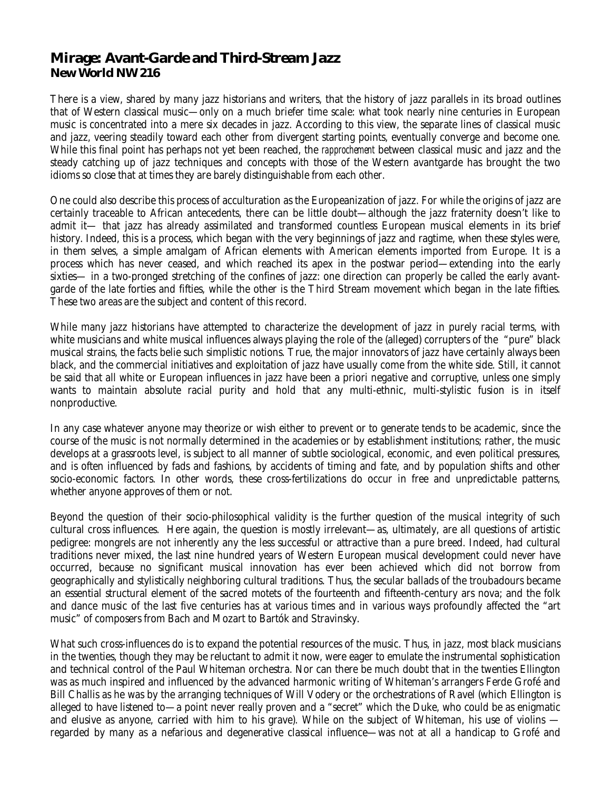# *Mirage: Avant-Garde and Third-Stream Jazz*  **New World NW 216**

There is a view, shared by many jazz historians and writers, that the history of jazz parallels in its broad outlines that of Western classical music—only on a much briefer time scale: what took nearly nine centuries in European music is concentrated into a mere six decades in jazz. According to this view, the separate lines of classical music and jazz, veering steadily toward each other from divergent starting points, eventually converge and become one. While this final point has perhaps not yet been reached, the *rapprochement* between classical music and jazz and the steady catching up of jazz techniques and concepts with those of the Western avantgarde has brought the two idioms so close that at times they are barely distinguishable from each other.

One could also describe this process of acculturation as the Europeanization of jazz. For while the origins of jazz are certainly traceable to African antecedents, there can be little doubt—although the jazz fraternity doesn't like to admit it— that jazz has already assimilated and transformed countless European musical elements in its brief history. Indeed, this is a process, which began with the very beginnings of jazz and ragtime, when these styles were, in them selves, a simple amalgam of African elements with American elements imported from Europe. It is a process which has never ceased, and which reached its apex in the postwar period—extending into the early sixties— in a two-pronged stretching of the confines of jazz: one direction can properly be called the early avantgarde of the late forties and fifties, while the other is the Third Stream movement which began in the late fifties. These two areas are the subject and content of this record.

While many jazz historians have attempted to characterize the development of jazz in purely racial terms, with white musicians and white musical influences always playing the role of the (alleged) corrupters of the "pure" black musical strains, the facts belie such simplistic notions. True, the major innovators of jazz have certainly always been black, and the commercial initiatives and exploitation of jazz have usually come from the white side. Still, it cannot be said that all white or European influences in jazz have been a priori negative and corruptive, unless one simply wants to maintain absolute racial purity and hold that any multi-ethnic, multi-stylistic fusion is in itself nonproductive.

In any case whatever anyone may theorize or wish either to prevent or to generate tends to be academic, since the course of the music is not normally determined in the academies or by establishment institutions; rather, the music develops at a grassroots level, is subject to all manner of subtle sociological, economic, and even political pressures, and is often influenced by fads and fashions, by accidents of timing and fate, and by population shifts and other socio-economic factors. In other words, these cross-fertilizations do occur in free and unpredictable patterns, whether anyone approves of them or not.

Beyond the question of their socio-philosophical validity is the further question of the musical integrity of such cultural cross influences. Here again, the question is mostly irrelevant—as, ultimately, are all questions of artistic pedigree: mongrels are not inherently any the less successful or attractive than a pure breed. Indeed, had cultural traditions never mixed, the last nine hundred years of Western European musical development could never have occurred, because no significant musical innovation has ever been achieved which did not borrow from geographically and stylistically neighboring cultural traditions. Thus, the secular ballads of the troubadours became an essential structural element of the sacred motets of the fourteenth and fifteenth-century ars nova; and the folk and dance music of the last five centuries has at various times and in various ways profoundly affected the "art music" of composers from Bach and Mozart to Bartók and Stravinsky.

What such cross-influences do is to expand the potential resources of the music. Thus, in jazz, most black musicians in the twenties, though they may be reluctant to admit it now, were eager to emulate the instrumental sophistication and technical control of the Paul Whiteman orchestra. Nor can there be much doubt that in the twenties Ellington was as much inspired and influenced by the advanced harmonic writing of Whiteman's arrangers Ferde Grofé and Bill Challis as he was by the arranging techniques of Will Vodery or the orchestrations of Ravel (which Ellington is alleged to have listened to—a point never really proven and a "secret" which the Duke, who could be as enigmatic and elusive as anyone, carried with him to his grave). While on the subject of Whiteman, his use of violins regarded by many as a nefarious and degenerative classical influence—was not at all a handicap to Grofé and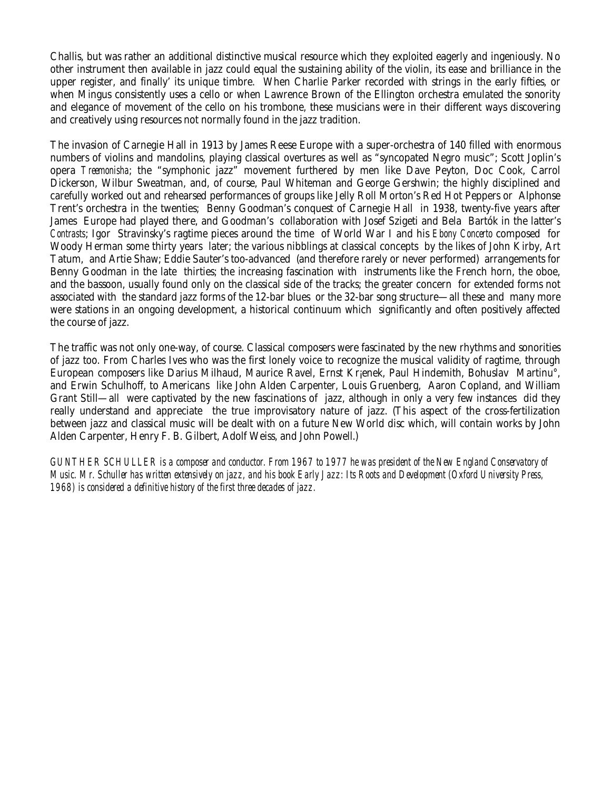Challis, but was rather an additional distinctive musical resource which they exploited eagerly and ingeniously. No other instrument then available in jazz could equal the sustaining ability of the violin, its ease and brilliance in the upper register, and finally' its unique timbre. When Charlie Parker recorded with strings in the early fifties, or when Mingus consistently uses a cello or when Lawrence Brown of the Ellington orchestra emulated the sonority and elegance of movement of the cello on his trombone, these musicians were in their different ways discovering and creatively using resources not normally found in the jazz tradition.

The invasion of Carnegie Hall in 1913 by James Reese Europe with a super-orchestra of 140 filled with enormous numbers of violins and mandolins, playing classical overtures as well as "syncopated Negro music"; Scott Joplin's opera *Treemonisha*; the "symphonic jazz" movement furthered by men like Dave Peyton, Doc Cook, Carrol Dickerson, Wilbur Sweatman, and, of course, Paul Whiteman and George Gershwin; the highly disciplined and carefully worked out and rehearsed performances of groups like Jelly Roll Morton's Red Hot Peppers or Alphonse Trent's orchestra in the twenties; Benny Goodman's conquest of Carnegie Hall in 1938, twenty-five years after James Europe had played there, and Goodman's collaboration with Josef Szigeti and Bela Bartók in the latter's *Contrasts*; Igor Stravinsky's ragtime pieces around the time of World War I and his *Ebony Concerto* composed for Woody Herman some thirty years later; the various nibblings at classical concepts by the likes of John Kirby, Art Tatum, and Artie Shaw; Eddie Sauter's too-advanced (and therefore rarely or never performed) arrangements for Benny Goodman in the late thirties; the increasing fascination with instruments like the French horn, the oboe, and the bassoon, usually found only on the classical side of the tracks; the greater concern for extended forms not associated with the standard jazz forms of the 12-bar blues or the 32-bar song structure—all these and many more were stations in an ongoing development, a historical continuum which significantly and often positively affected the course of jazz.

The traffic was not only one-way, of course. Classical composers were fascinated by the new rhythms and sonorities of jazz too. From Charles Ives who was the first lonely voice to recognize the musical validity of ragtime, through European composers like Darius Milhaud, Maurice Ravel, Ernst Kr¡enek, Paul Hindemith, Bohuslav Martinu°, and Erwin Schulhoff, to Americans like John Alden Carpenter, Louis Gruenberg, Aaron Copland, and William Grant Still—all were captivated by the new fascinations of jazz, although in only a very few instances did they really understand and appreciate the true improvisatory nature of jazz. (This aspect of the cross-fertilization between jazz and classical music will be dealt with on a future New World disc which, will contain works by John Alden Carpenter, Henry F. B. Gilbert, Adolf Weiss, and John Powell.)

*GUNTHER SCHULLER is a composer and conductor. From 1967 to 1977 he was president of the New England Conservatory of Music. Mr. Schuller has written extensively on jazz, and his book Early Jazz: Its Roots and Development (Oxford University Press, 1968) is considered a definitive history of the first three decades of jazz.*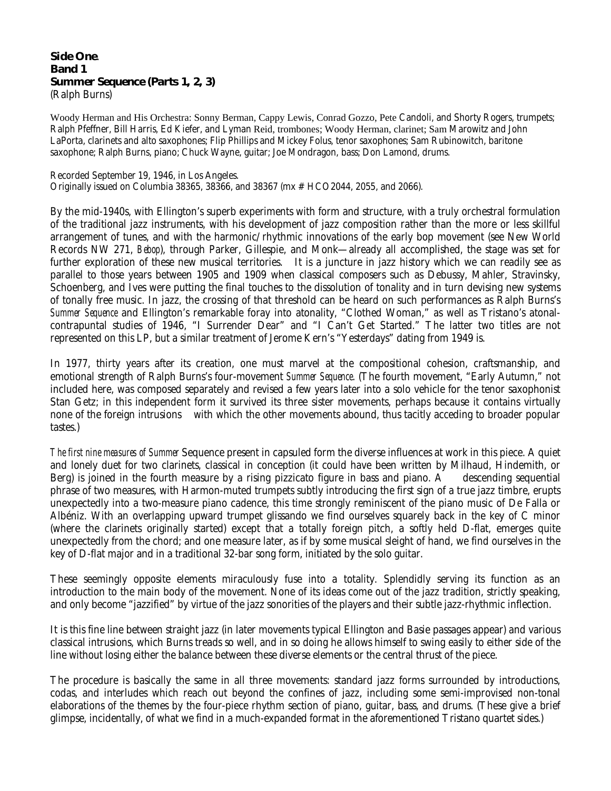### **Side One**. **Band 1**  *Summer Sequence (Parts 1, 2, 3)* (Ralph Burns)

Woody Herman and His Orchestra: Sonny Berman, Cappy Lewis, Conrad Gozzo, Pete Candoli, and Shorty Rogers, trumpets; Ralph Pfeffner, Bill Harris, Ed Kiefer, and Lyman Reid, trombones; Woody Herman, clarinet; Sam Marowitz and John LaPorta, clarinets and alto saxophones; Flip Phillips and Mickey Folus, tenor saxophones; Sam Rubinowitch, baritone saxophone; Ralph Burns, piano; Chuck Wayne, guitar; Joe Mondragon, bass; Don Lamond, drums.

#### Recorded September 19, 1946, in Los Angeles.

Originally issued on Columbia 38365, 38366, and 38367 (mx # HCO2044, 2055, and 2066).

By the mid-1940s, with Ellington's superb experiments with form and structure, with a truly orchestral formulation of the traditional jazz instruments, with his development of jazz composition rather than the more or less skillful arrangement of tunes, and with the harmonic/rhythmic innovations of the early bop movement (see New World Records NW 271, *Bebop*), through Parker, Gillespie, and Monk—already all accomplished, the stage was set for further exploration of these new musical territories. It is a juncture in jazz history which we can readily see as parallel to those years between 1905 and 1909 when classical composers such as Debussy, Mahler, Stravinsky, Schoenberg, and Ives were putting the final touches to the dissolution of tonality and in turn devising new systems of tonally free music. In jazz, the crossing of that threshold can be heard on such performances as Ralph Burns's *Summer Sequence* and Ellington's remarkable foray into atonality, "Clothed Woman," as well as Tristano's atonalcontrapuntal studies of 1946, "I Surrender Dear" and "I Can't Get Started." The latter two titles are not represented on this LP, but a similar treatment of Jerome Kern's "Yesterdays" dating from 1949 is.

In 1977, thirty years after its creation, one must marvel at the compositional cohesion, craftsmanship, and emotional strength of Ralph Burns's four-movement *Summer Sequence*. (The fourth movement, "Early Autumn," not included here, was composed separately and revised a few years later into a solo vehicle for the tenor saxophonist Stan Getz; in this independent form it survived its three sister movements, perhaps because it contains virtually none of the foreign intrusions with which the other movements abound, thus tacitly acceding to broader popular tastes.)

*The first nine measures of Summer* Sequence present in capsuled form the diverse influences at work in this piece. A quiet and lonely duet for two clarinets, classical in conception (it could have been written by Milhaud, Hindemith, or Berg) is joined in the fourth measure by a rising pizzicato figure in bass and piano. A descending sequential phrase of two measures, with Harmon-muted trumpets subtly introducing the first sign of a true jazz timbre, erupts unexpectedly into a two-measure piano cadence, this time strongly reminiscent of the piano music of De Falla or Albéniz. With an overlapping upward trumpet glissando we find ourselves squarely back in the key of C minor (where the clarinets originally started) except that a totally foreign pitch, a softly held D-flat, emerges quite unexpectedly from the chord; and one measure later, as if by some musical sleight of hand, we find ourselves in the key of D-flat major and in a traditional 32-bar song form, initiated by the solo guitar.

These seemingly opposite elements miraculously fuse into a totality. Splendidly serving its function as an introduction to the main body of the movement. None of its ideas come out of the jazz tradition, strictly speaking, and only become "jazzified" by virtue of the jazz sonorities of the players and their subtle jazz-rhythmic inflection.

It is this fine line between straight jazz (in later movements typical Ellington and Basie passages appear) and various classical intrusions, which Burns treads so well, and in so doing he allows himself to swing easily to either side of the line without losing either the balance between these diverse elements or the central thrust of the piece.

The procedure is basically the same in all three movements: standard jazz forms surrounded by introductions, codas, and interludes which reach out beyond the confines of jazz, including some semi-improvised non-tonal elaborations of the themes by the four-piece rhythm section of piano, guitar, bass, and drums. (These give a brief glimpse, incidentally, of what we find in a much-expanded format in the aforementioned Tristano quartet sides.)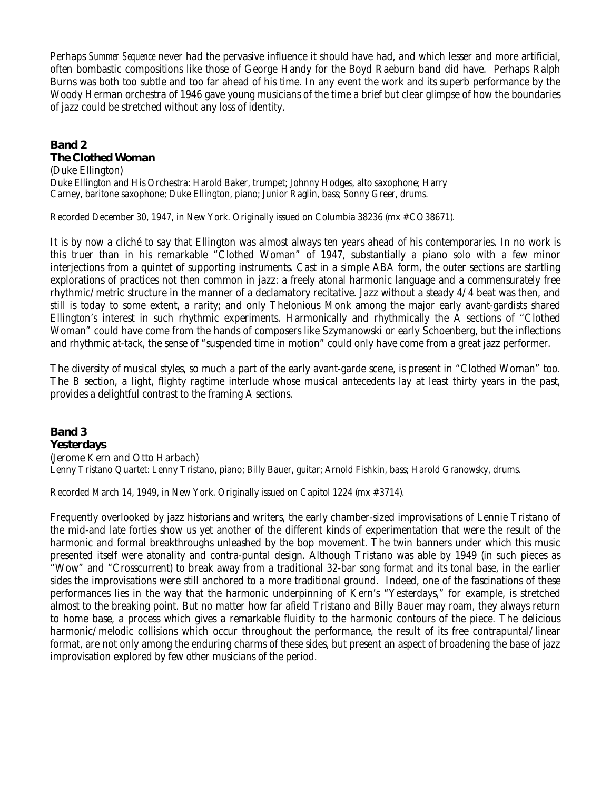Perhaps *Summer Sequence* never had the pervasive influence it should have had, and which lesser and more artificial, often bombastic compositions like those of George Handy for the Boyd Raeburn band did have. Perhaps Ralph Burns was both too subtle and too far ahead of his time. In any event the work and its superb performance by the Woody Herman orchestra of 1946 gave young musicians of the time a brief but clear glimpse of how the boundaries of jazz could be stretched without any loss of identity.

### **Band 2**

#### *The Clothed Woman*

(Duke Ellington) Duke Ellington and His Orchestra: Harold Baker, trumpet; Johnny Hodges, alto saxophone; Harry Carney, baritone saxophone; Duke Ellington, piano; Junior Raglin, bass; Sonny Greer, drums.

Recorded December 30, 1947, in New York. Originally issued on Columbia 38236 (mx #CO38671).

It is by now a cliché to say that Ellington was almost always ten years ahead of his contemporaries. In no work is this truer than in his remarkable "Clothed Woman" of 1947, substantially a piano solo with a few minor interjections from a quintet of supporting instruments. Cast in a simple ABA form, the outer sections are startling explorations of practices not then common in jazz: a freely atonal harmonic language and a commensurately free rhythmic/metric structure in the manner of a declamatory recitative. Jazz without a steady 4/4 beat was then, and still is today to some extent, a rarity; and only Thelonious Monk among the major early avant-gardists shared Ellington's interest in such rhythmic experiments. Harmonically and rhythmically the A sections of "Clothed Woman" could have come from the hands of composers like Szymanowski or early Schoenberg, but the inflections and rhythmic at-tack, the sense of "suspended time in motion" could only have come from a great jazz performer.

The diversity of musical styles, so much a part of the early avant-garde scene, is present in "Clothed Woman" too. The B section, a light, flighty ragtime interlude whose musical antecedents lay at least thirty years in the past, provides a delightful contrast to the framing A sections.

**Band 3**  *Yesterdays*  (Jerome Kern and Otto Harbach) Lenny Tristano Quartet: Lenny Tristano, piano; Billy Bauer, guitar; Arnold Fishkin, bass; Harold Granowsky, drums.

Recorded March 14, 1949, in New York. Originally issued on Capitol 1224 (mx #3714).

Frequently overlooked by jazz historians and writers, the early chamber-sized improvisations of Lennie Tristano of the mid-and late forties show us yet another of the different kinds of experimentation that were the result of the harmonic and formal breakthroughs unleashed by the bop movement. The twin banners under which this music presented itself were atonality and contra-puntal design. Although Tristano was able by 1949 (in such pieces as "Wow" and "Crosscurrent) to break away from a traditional 32-bar song format and its tonal base, in the earlier sides the improvisations were still anchored to a more traditional ground. Indeed, one of the fascinations of these performances lies in the way that the harmonic underpinning of Kern's "Yesterdays," for example, is stretched almost to the breaking point. But no matter how far afield Tristano and Billy Bauer may roam, they always return to home base, a process which gives a remarkable fluidity to the harmonic contours of the piece. The delicious harmonic/melodic collisions which occur throughout the performance, the result of its free contrapuntal/linear format, are not only among the enduring charms of these sides, but present an aspect of broadening the base of jazz improvisation explored by few other musicians of the period.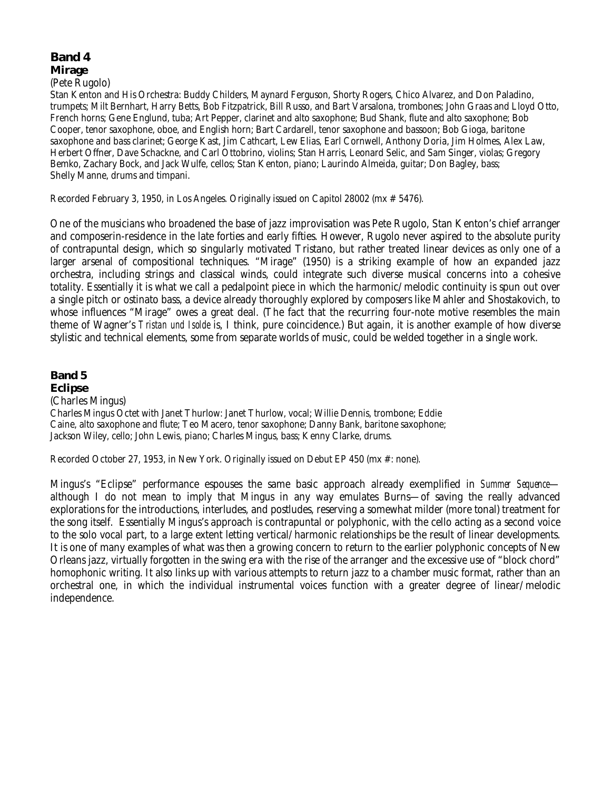# **Band 4**  *Mirage*

# (Pete Rugolo)

Stan Kenton and His Orchestra: Buddy Childers, Maynard Ferguson, Shorty Rogers, Chico Alvarez, and Don Paladino, trumpets; Milt Bernhart, Harry Betts, Bob Fitzpatrick, Bill Russo, and Bart Varsalona, trombones; John Graas and Lloyd Otto, French horns; Gene Englund, tuba; Art Pepper, clarinet and alto saxophone; Bud Shank, flute and alto saxophone; Bob Cooper, tenor saxophone, oboe, and English horn; Bart Cardarell, tenor saxophone and bassoon; Bob Gioga, baritone saxophone and bass clarinet; George Kast, Jim Cathcart, Lew Elias, Earl Cornwell, Anthony Doria, Jim Holmes, Alex Law, Herbert Offner, Dave Schackne, and Carl Ottobrino, violins; Stan Harris, Leonard Selic, and Sam Singer, violas; Gregory Bemko, Zachary Bock, and Jack Wulfe, cellos; Stan Kenton, piano; Laurindo Almeida, guitar; Don Bagley, bass; Shelly Manne, drums and timpani.

Recorded February 3, 1950, in Los Angeles. Originally issued on Capitol 28002 (mx # 5476).

One of the musicians who broadened the base of jazz improvisation was Pete Rugolo, Stan Kenton's chief arranger and composerin-residence in the late forties and early fifties. However, Rugolo never aspired to the absolute purity of contrapuntal design, which so singularly motivated Tristano, but rather treated linear devices as only one of a larger arsenal of compositional techniques. "Mirage" (1950) is a striking example of how an expanded jazz orchestra, including strings and classical winds, could integrate such diverse musical concerns into a cohesive totality. Essentially it is what we call a pedalpoint piece in which the harmonic/melodic continuity is spun out over a single pitch or ostinato bass, a device already thoroughly explored by composers like Mahler and Shostakovich, to whose influences "Mirage" owes a great deal. (The fact that the recurring four-note motive resembles the main theme of Wagner's *Tristan und Isolde* is, I think, pure coincidence.) But again, it is another example of how diverse stylistic and technical elements, some from separate worlds of music, could be welded together in a single work.

#### **Band 5**

*Eclipse*  (Charles Mingus) Charles Mingus Octet with Janet Thurlow: Janet Thurlow, vocal; Willie Dennis, trombone; Eddie Caine, alto saxophone and flute; Teo Macero, tenor saxophone; Danny Bank, baritone saxophone; Jackson Wiley, cello; John Lewis, piano; Charles Mingus, bass; Kenny Clarke, drums.

Recorded October 27, 1953, in New York. Originally issued on Debut EP 450 (mx #: none).

Mingus's "Eclipse" performance espouses the same basic approach already exemplified in *Summer Sequence* although I do not mean to imply that Mingus in any way emulates Burns—of saving the really advanced explorations for the introductions, interludes, and postludes, reserving a somewhat milder (more tonal) treatment for the song itself. Essentially Mingus's approach is contrapuntal or polyphonic, with the cello acting as a second voice to the solo vocal part, to a large extent letting vertical/harmonic relationships be the result of linear developments. It is one of many examples of what was then a growing concern to return to the earlier polyphonic concepts of New Orleans jazz, virtually forgotten in the swing era with the rise of the arranger and the excessive use of "block chord" homophonic writing. It also links up with various attempts to return jazz to a chamber music format, rather than an orchestral one, in which the individual instrumental voices function with a greater degree of linear/melodic independence.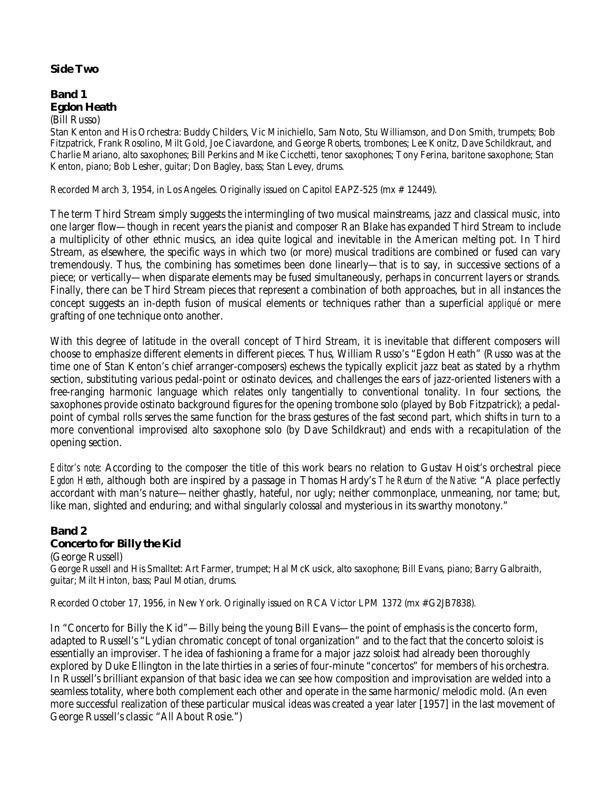# **Side Two**

#### **Band 1**

### *Egdon Heath*

#### (Bill Russo)

Stan Kenton and His Orchestra: Buddy Childers, Vic Minichiello, Sam Noto, Stu Williamson, and Don Smith, trumpets; Bob Fitzpatrick, Frank Rosolino, Milt Gold, Joe Ciavardone, and George Roberts, trombones; Lee Konitz, Dave Schildkraut, and Charlie Mariano, alto saxophones; Bill Perkins and Mike Cicchetti, tenor saxophones; Tony Ferina, baritone saxophone; Stan Kenton, piano; Bob Lesher, guitar; Don Bagley, bass; Stan Levey, drums.

Recorded March 3, 1954, in Los Angeles. Originally issued on Capitol EAPZ-525 (mx # 12449).

The term Third Stream simply suggests the intermingling of two musical mainstreams, jazz and classical music, into one larger flow—though in recent years the pianist and composer Ran Blake has expanded Third Stream to include a multiplicity of other ethnic musics, an idea quite logical and inevitable in the American melting pot. In Third Stream, as elsewhere, the specific ways in which two (or more) musical traditions are combined or fused can vary tremendously. Thus, the combining has sometimes been done linearly—that is to say, in successive sections of a piece; or vertically—when disparate elements may be fused simultaneously, perhaps in concurrent layers or strands. Finally, there can be Third Stream pieces that represent a combination of both approaches, but in all instances the concept suggests an in-depth fusion of musical elements or techniques rather than a superficial *appliqué* or mere grafting of one technique onto another.

With this degree of latitude in the overall concept of Third Stream, it is inevitable that different composers will choose to emphasize different elements in different pieces. Thus, William Russo's "Egdon Heath" (Russo was at the time one of Stan Kenton's chief arranger-composers) eschews the typically explicit jazz beat as stated by a rhythm section, substituting various pedal-point or ostinato devices, and challenges the ears of jazz-oriented listeners with a free-ranging harmonic language which relates only tangentially to conventional tonality. In four sections, the saxophones provide ostinato background figures for the opening trombone solo (played by Bob Fitzpatrick); a pedalpoint of cymbal rolls serves the same function for the brass gestures of the fast second part, which shifts in turn to a more conventional improvised alto saxophone solo (by Dave Schildkraut) and ends with a recapitulation of the opening section.

*Editor's note*: According to the composer the title of this work bears no relation to Gustav Hoist's orchestral piece *Egdon Heath*, although both are inspired by a passage in Thomas Hardy's *The Return of the Native*: "A place perfectly accordant with man's nature—neither ghastly, hateful, nor ugly; neither commonplace, unmeaning, nor tame; but, like man, slighted and enduring; and withal singularly colossal and mysterious in its swarthy monotony."

#### **Band 2**

# *Concerto for Billy the Kid*

#### (George Russell)

George Russell and His Smalltet: Art Farmer, trumpet; Hal McKusick, alto saxophone; Bill Evans, piano; Barry Galbraith, guitar; Milt Hinton, bass; Paul Motian, drums.

Recorded October 17, 1956, in New York. Originally issued on RCA Victor LPM 1372 (mx #G2JB7838).

In "Concerto for Billy the Kid"—Billy being the young Bill Evans—the point of emphasis is the concerto form, adapted to Russell's "Lydian chromatic concept of tonal organization" and to the fact that the concerto soloist is essentially an improviser. The idea of fashioning a frame for a major jazz soloist had already been thoroughly explored by Duke Ellington in the late thirties in a series of four-minute "concertos" for members of his orchestra. In Russell's brilliant expansion of that basic idea we can see how composition and improvisation are welded into a seamless totality, where both complement each other and operate in the same harmonic/melodic mold. (An even more successful realization of these particular musical ideas was created a year later [1957] in the last movement of George Russell's classic "All About Rosie.")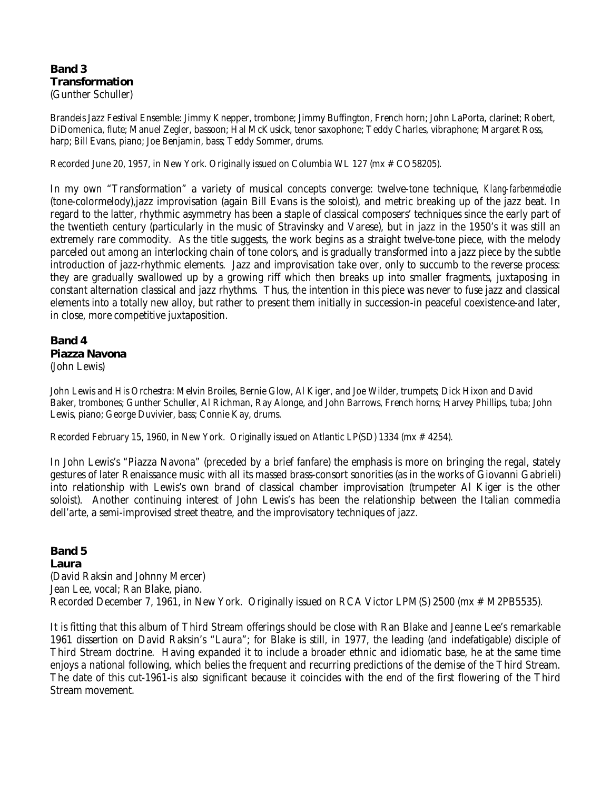### **Band 3**  *Transformation*  (Gunther Schuller)

Brandeis Jazz Festival Ensemble: Jimmy Knepper, trombone; Jimmy Buffington, French horn; John LaPorta, clarinet; Robert, DiDomenica, flute; Manuel Zegler, bassoon; Hal McKusick, tenor saxophone; Teddy Charles, vibraphone; Margaret Ross, harp; Bill Evans, piano; Joe Benjamin, bass; Teddy Sommer, drums.

Recorded June 20, 1957, in New York. Originally issued on Columbia WL 127 (mx # CO58205).

In my own "Transformation" a variety of musical concepts converge: twelve-tone technique, *Klang-farbenmelodie* (tone-colormelody),jazz improvisation (again Bill Evans is the soloist), and metric breaking up of the jazz beat. In regard to the latter, rhythmic asymmetry has been a staple of classical composers' techniques since the early part of the twentieth century (particularly in the music of Stravinsky and Varese), but in jazz in the 1950's it was still an extremely rare commodity. As the title suggests, the work begins as a straight twelve-tone piece, with the melody parceled out among an interlocking chain of tone colors, and is gradually transformed into a jazz piece by the subtle introduction of jazz-rhythmic elements. Jazz and improvisation take over, only to succumb to the reverse process: they are gradually swallowed up by a growing riff which then breaks up into smaller fragments, juxtaposing in constant alternation classical and jazz rhythms. Thus, the intention in this piece was never to fuse jazz and classical elements into a totally new alloy, but rather to present them initially in succession-in peaceful coexistence-and later, in close, more competitive juxtaposition.

# **Band 4**  *Piazza Navona*  (John Lewis)

John Lewis and His Orchestra: Melvin Broiles, Bernie Glow, Al Kiger, and Joe Wilder, trumpets; Dick Hixon and David Baker, trombones; Gunther Schuller, Al Richman, Ray Alonge, and John Barrows, French horns; Harvey Phillips, tuba; John Lewis, piano; George Duvivier, bass; Connie Kay, drums.

Recorded February 15, 1960, in New York. Originally issued on Atlantic LP(SD) 1334 (mx # 4254).

In John Lewis's "Piazza Navona" (preceded by a brief fanfare) the emphasis is more on bringing the regal, stately gestures of later Renaissance music with all its massed brass-consort sonorities (as in the works of Giovanni Gabrieli) into relationship with Lewis's own brand of classical chamber improvisation (trumpeter Al Kiger is the other soloist). Another continuing interest of John Lewis's has been the relationship between the Italian commedia dell'arte, a semi-improvised street theatre, and the improvisatory techniques of jazz.

# **Band 5**

*Laura*  (David Raksin and Johnny Mercer) Jean Lee, vocal; Ran Blake, piano. Recorded December 7, 1961, in New York. Originally issued on RCA Victor LPM(S) 2500 (mx # M2PB5535).

It is fitting that this album of Third Stream offerings should be close with Ran Blake and Jeanne Lee's remarkable 1961 dissertion on David Raksin's "Laura"; for Blake is still, in 1977, the leading (and indefatigable) disciple of Third Stream doctrine. Having expanded it to include a broader ethnic and idiomatic base, he at the same time enjoys a national following, which belies the frequent and recurring predictions of the demise of the Third Stream. The date of this cut-1961-is also significant because it coincides with the end of the first flowering of the Third Stream movement.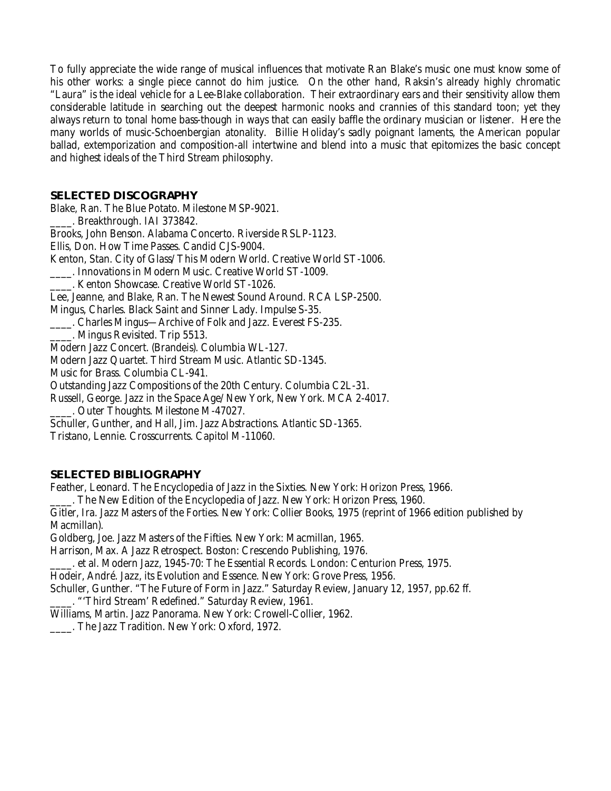To fully appreciate the wide range of musical influences that motivate Ran Blake's music one must know some of his other works: a single piece cannot do him justice. On the other hand, Raksin's already highly chromatic "Laura" is the ideal vehicle for a Lee-Blake collaboration. Their extraordinary ears and their sensitivity allow them considerable latitude in searching out the deepest harmonic nooks and crannies of this standard toon; yet they always return to tonal home bass-though in ways that can easily baffle the ordinary musician or listener. Here the many worlds of music-Schoenbergian atonality. Billie Holiday's sadly poignant laments, the American popular ballad, extemporization and composition-all intertwine and blend into a music that epitomizes the basic concept and highest ideals of the Third Stream philosophy.

#### **SELECTED DISCOGRAPHY**

Blake, Ran. The Blue Potato. Milestone MSP-9021.

\_\_\_\_. Breakthrough. IAI 373842.

Brooks, John Benson. Alabama Concerto. Riverside RSLP-1123.

Ellis, Don. How Time Passes. Candid CJS-9004.

Kenton, Stan. City of Glass/This Modern World. Creative World ST-1006.

\_\_\_\_. Innovations in Modern Music. Creative World ST-1009.

\_\_\_\_. Kenton Showcase. Creative World ST-1026.

Lee, Jeanne, and Blake, Ran. The Newest Sound Around. RCA LSP-2500.

Mingus, Charles. Black Saint and Sinner Lady. Impulse S-35.

\_\_\_\_. Charles Mingus—Archive of Folk and Jazz. Everest FS-235.

\_\_\_\_. Mingus Revisited. Trip 5513.

Modern Jazz Concert. (Brandeis). Columbia WL-127.

Modern Jazz Quartet. Third Stream Music. Atlantic SD-1345.

Music for Brass. Columbia CL-941.

Outstanding Jazz Compositions of the 20th Century. Columbia C2L-31.

Russell, George. Jazz in the Space Age/New York, New York. MCA 2-4017.

\_\_\_\_. Outer Thoughts. Milestone M-47027.

Schuller, Gunther, and Hall, Jim. Jazz Abstractions. Atlantic SD-1365.

Tristano, Lennie. Crosscurrents. Capitol M-11060.

# **SELECTED BIBLIOGRAPHY**

Feather, Leonard. The Encyclopedia of Jazz in the Sixties. New York: Horizon Press, 1966.

\_\_\_\_. The New Edition of the Encyclopedia of Jazz. New York: Horizon Press, 1960.

Gitler, Ira. Jazz Masters of the Forties. New York: Collier Books, 1975 (reprint of 1966 edition published by Macmillan).

Goldberg, Joe. Jazz Masters of the Fifties. New York: Macmillan, 1965.

Harrison, Max. A Jazz Retrospect. Boston: Crescendo Publishing, 1976.

\_\_\_\_. et al. Modern Jazz, 1945-70: The Essential Records. London: Centurion Press, 1975.

Hodeir, André. Jazz, its Evolution and Essence. New York: Grove Press, 1956.

Schuller, Gunther. "The Future of Form in Jazz." Saturday Review, January 12, 1957, pp.62 ff.

\_\_\_\_. "'Third Stream' Redefined." Saturday Review, 1961.

Williams, Martin. Jazz Panorama. New York: Crowell-Collier, 1962.

\_\_\_\_. The Jazz Tradition. New York: Oxford, 1972.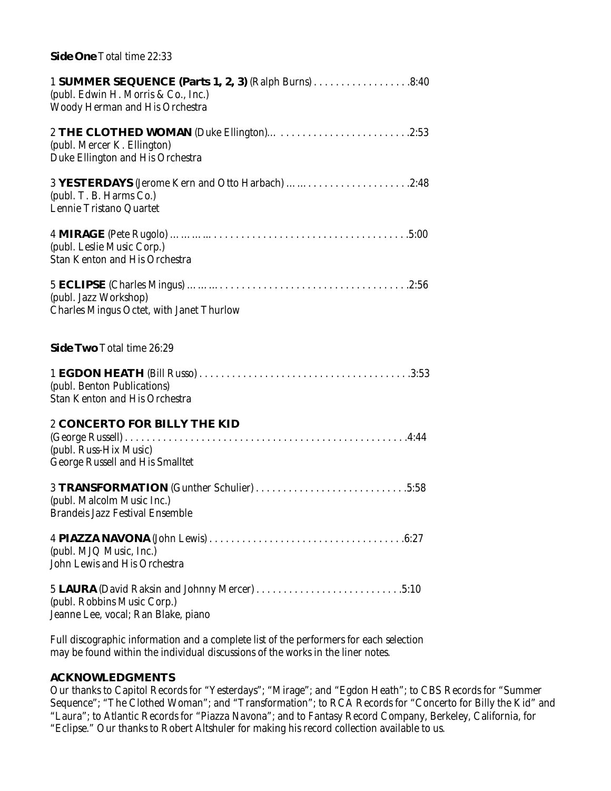| 1 SUMMER SEQUENCE (Parts 1, 2, 3) (Ralph Burns) 8:40<br>(publ. Edwin H. Morris & Co., Inc.)<br><b>Woody Herman and His Orchestra</b> |
|--------------------------------------------------------------------------------------------------------------------------------------|
| 2.53 <b>THE CLOTHED WOMAN</b> (Duke Ellington)2:53<br>(publ. Mercer K. Ellington)<br>Duke Ellington and His Orchestra                |
| 3 YESTERDAYS (Jerome Kern and Otto Harbach) 2:48<br>(publ. T. B. Harms Co.)<br>Lennie Tristano Quartet                               |
| (publ. Leslie Music Corp.)<br><b>Stan Kenton and His Orchestra</b>                                                                   |
| (publ. Jazz Workshop)<br><b>Charles Mingus Octet, with Janet Thurlow</b>                                                             |
| <b>Side Two Total time 26:29</b>                                                                                                     |
| (publ. Benton Publications)<br><b>Stan Kenton and His Orchestra</b>                                                                  |
| 2 CONCERTO FOR BILLY THE KID<br>(publ. Russ-Hix Music)<br><b>George Russell and His Smalltet</b>                                     |
| (publ. Malcolm Music Inc.)<br><b>Brandeis Jazz Festival Ensemble</b>                                                                 |
| (publ. MJQ Music, Inc.)<br>John Lewis and His Orchestra                                                                              |
| (publ. Robbins Music Corp.)<br>Jeanne Lee, vocal; Ran Blake, piano                                                                   |
| $\mathbf{A}$ , and $\mathbf{A}$ , and $\mathbf{A}$ , and $\mathbf{A}$ is a set of $\mathbf{A}$ . Then if $\mathbf{A}$ is a set       |

Full discographic information and a complete list of the performers for each selection may be found within the individual discussions of the works in the liner notes.

### **ACKNOWLEDGMENTS**

*Side One* Total time 22:33

Our thanks to Capitol Records for "Yesterdays"; "Mirage"; and "Egdon Heath"; to CBS Records for "Summer Sequence"; "The Clothed Woman"; and "Transformation"; to RCA Records for "Concerto for Billy the Kid" and "Laura"; to Atlantic Records for "Piazza Navona"; and to Fantasy Record Company, Berkeley, California, for "Eclipse." Our thanks to Robert Altshuler for making his record collection available to us.